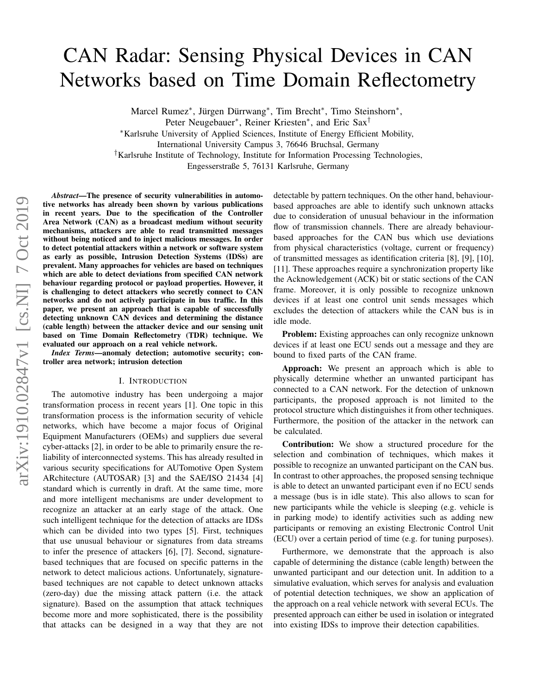# CAN Radar: Sensing Physical Devices in CAN Networks based on Time Domain Reflectometry

Marcel Rumez<sup>\*</sup>, Jürgen Dürrwang<sup>\*</sup>, Tim Brecht<sup>\*</sup>, Timo Steinshorn<sup>\*</sup>,

Peter Neugebauer<sup>\*</sup>, Reiner Kriesten<sup>\*</sup>, and Eric Sax<sup>†</sup>

<sup>∗</sup>Karlsruhe University of Applied Sciences, Institute of Energy Efficient Mobility,

International University Campus 3, 76646 Bruchsal, Germany

†Karlsruhe Institute of Technology, Institute for Information Processing Technologies,

Engesserstraße 5, 76131 Karlsruhe, Germany

*Abstract*—The presence of security vulnerabilities in automotive networks has already been shown by various publications in recent years. Due to the specification of the Controller Area Network (CAN) as a broadcast medium without security mechanisms, attackers are able to read transmitted messages without being noticed and to inject malicious messages. In order to detect potential attackers within a network or software system as early as possible, Intrusion Detection Systems (IDSs) are prevalent. Many approaches for vehicles are based on techniques which are able to detect deviations from specified CAN network behaviour regarding protocol or payload properties. However, it is challenging to detect attackers who secretly connect to CAN networks and do not actively participate in bus traffic. In this paper, we present an approach that is capable of successfully detecting unknown CAN devices and determining the distance (cable length) between the attacker device and our sensing unit based on Time Domain Reflectometry (TDR) technique. We evaluated our approach on a real vehicle network.

*Index Terms*—anomaly detection; automotive security; controller area network; intrusion detection

#### I. INTRODUCTION

The automotive industry has been undergoing a major transformation process in recent years [\[1\]](#page-7-0). One topic in this transformation process is the information security of vehicle networks, which have become a major focus of Original Equipment Manufacturers (OEMs) and suppliers due several cyber-attacks [\[2\]](#page-7-1), in order to be able to primarily ensure the reliability of interconnected systems. This has already resulted in various security specifications for AUTomotive Open System ARchitecture (AUTOSAR) [\[3\]](#page-7-2) and the SAE/ISO 21434 [\[4\]](#page-7-3) standard which is currently in draft. At the same time, more and more intelligent mechanisms are under development to recognize an attacker at an early stage of the attack. One such intelligent technique for the detection of attacks are IDSs which can be divided into two types [\[5\]](#page-7-4). First, techniques that use unusual behaviour or signatures from data streams to infer the presence of attackers [\[6\]](#page-7-5), [\[7\]](#page-7-6). Second, signaturebased techniques that are focused on specific patterns in the network to detect malicious actions. Unfortunately, signaturebased techniques are not capable to detect unknown attacks (zero-day) due the missing attack pattern (i.e. the attack signature). Based on the assumption that attack techniques become more and more sophisticated, there is the possibility that attacks can be designed in a way that they are not detectable by pattern techniques. On the other hand, behaviourbased approaches are able to identify such unknown attacks due to consideration of unusual behaviour in the information flow of transmission channels. There are already behaviourbased approaches for the CAN bus which use deviations from physical characteristics (voltage, current or frequency) of transmitted messages as identification criteria [\[8\]](#page-7-7), [\[9\]](#page-7-8), [\[10\]](#page-7-9), [\[11\]](#page-7-10). These approaches require a synchronization property like the Acknowledgement (ACK) bit or static sections of the CAN frame. Moreover, it is only possible to recognize unknown devices if at least one control unit sends messages which excludes the detection of attackers while the CAN bus is in idle mode.

**Problem:** Existing approaches can only recognize unknown devices if at least one ECU sends out a message and they are bound to fixed parts of the CAN frame.

Approach: We present an approach which is able to physically determine whether an unwanted participant has connected to a CAN network. For the detection of unknown participants, the proposed approach is not limited to the protocol structure which distinguishes it from other techniques. Furthermore, the position of the attacker in the network can be calculated.

Contribution: We show a structured procedure for the selection and combination of techniques, which makes it possible to recognize an unwanted participant on the CAN bus. In contrast to other approaches, the proposed sensing technique is able to detect an unwanted participant even if no ECU sends a message (bus is in idle state). This also allows to scan for new participants while the vehicle is sleeping (e.g. vehicle is in parking mode) to identify activities such as adding new participants or removing an existing Electronic Control Unit (ECU) over a certain period of time (e.g. for tuning purposes).

Furthermore, we demonstrate that the approach is also capable of determining the distance (cable length) between the unwanted participant and our detection unit. In addition to a simulative evaluation, which serves for analysis and evaluation of potential detection techniques, we show an application of the approach on a real vehicle network with several ECUs. The presented approach can either be used in isolation or integrated into existing IDSs to improve their detection capabilities.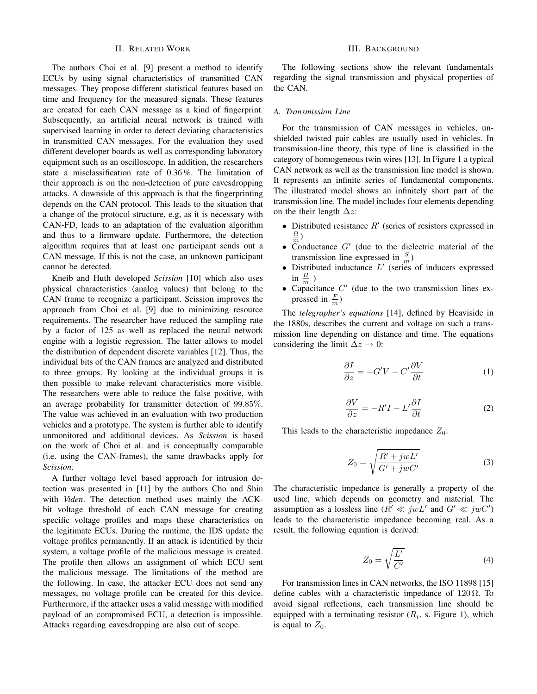# II. RELATED WORK

<span id="page-1-0"></span>The authors Choi et al. [\[9\]](#page-7-8) present a method to identify ECUs by using signal characteristics of transmitted CAN messages. They propose different statistical features based on time and frequency for the measured signals. These features are created for each CAN message as a kind of fingerprint. Subsequently, an artificial neural network is trained with supervised learning in order to detect deviating characteristics in transmitted CAN messages. For the evaluation they used different developer boards as well as corresponding laboratory equipment such as an oscilloscope. In addition, the researchers state a misclassification rate of 0.36 %. The limitation of their approach is on the non-detection of pure eavesdropping attacks. A downside of this approach is that the fingerprinting depends on the CAN protocol. This leads to the situation that a change of the protocol structure, e.g, as it is necessary with CAN-FD, leads to an adaptation of the evaluation algorithm and thus to a firmware update. Furthermore, the detection algorithm requires that at least one participant sends out a CAN message. If this is not the case, an unknown participant cannot be detected.

Kneib and Huth developed *Scission* [\[10\]](#page-7-9) which also uses physical characteristics (analog values) that belong to the CAN frame to recognize a participant. Scission improves the approach from Choi et al. [\[9\]](#page-7-8) due to minimizing resource requirements. The researcher have reduced the sampling rate by a factor of 125 as well as replaced the neural network engine with a logistic regression. The latter allows to model the distribution of dependent discrete variables [\[12\]](#page-7-11). Thus, the individual bits of the CAN frames are analyzed and distributed to three groups. By looking at the individual groups it is then possible to make relevant characteristics more visible. The researchers were able to reduce the false positive, with an average probability for transmitter detection of 99.85%. The value was achieved in an evaluation with two production vehicles and a prototype. The system is further able to identify unmonitored and additional devices. As *Scission* is based on the work of Choi et al. and is conceptually comparable (i.e. using the CAN-frames), the same drawbacks apply for *Scission*.

A further voltage level based approach for intrusion detection was presented in [\[11\]](#page-7-10) by the authors Cho and Shin with *Viden*. The detection method uses mainly the ACKbit voltage threshold of each CAN message for creating specific voltage profiles and maps these characteristics on the legitimate ECUs. During the runtime, the IDS update the voltage profiles permanently. If an attack is identified by their system, a voltage profile of the malicious message is created. The profile then allows an assignment of which ECU sent the malicious message. The limitations of the method are the following. In case, the attacker ECU does not send any messages, no voltage profile can be created for this device. Furthermore, if the attacker uses a valid message with modified payload of an compromised ECU, a detection is impossible. Attacks regarding eavesdropping are also out of scope.

# III. BACKGROUND

The following sections show the relevant fundamentals regarding the signal transmission and physical properties of the CAN.

## *A. Transmission Line*

For the transmission of CAN messages in vehicles, unshielded twisted pair cables are usually used in vehicles. In transmission-line theory, this type of line is classified in the category of homogeneous twin wires [\[13\]](#page-7-12). In Figure [1](#page-2-0) a typical CAN network as well as the transmission line model is shown. It represents an infinite series of fundamental components. The illustrated model shows an infinitely short part of the transmission line. The model includes four elements depending on the their length  $\Delta z$ :

- Distributed resistance  $R'$  (series of resistors expressed in  $\Omega$  $\frac{\Omega}{m}$ )
- Conductance  $G'$  (due to the dielectric material of the transmission line expressed in  $\frac{S}{m}$ )
- Distributed inductance  $L'$  (series of inducers expressed in  $\frac{H}{m}$ )
- Capacitance  $C'$  (due to the two transmission lines expressed in  $\frac{F}{m}$ )

The *telegrapher's equations* [\[14\]](#page-7-13), defined by Heaviside in the 1880s, describes the current and voltage on such a transmission line depending on distance and time. The equations considering the limit  $\Delta z \rightarrow 0$ :

$$
\frac{\partial I}{\partial z} = -G'V - C'\frac{\partial V}{\partial t} \tag{1}
$$

$$
\frac{\partial V}{\partial z} = -R'I - L'\frac{\partial I}{\partial t} \tag{2}
$$

This leads to the characteristic impedance  $Z_0$ :

$$
Z_0 = \sqrt{\frac{R' + jwL'}{G' + jwC'}}\tag{3}
$$

The characteristic impedance is generally a property of the used line, which depends on geometry and material. The assumption as a lossless line  $(R' \ll jwL'$  and  $G' \ll jwC'$ ) leads to the characteristic impedance becoming real. As a result, the following equation is derived:

$$
Z_0 = \sqrt{\frac{L'}{C'}}
$$
 (4)

For transmission lines in CAN networks, the ISO 11898 [\[15\]](#page-7-14) define cables with a characteristic impedance of  $120 \Omega$ . To avoid signal reflections, each transmission line should be equipped with a terminating resistor  $(R_t, s.$  Figure [1\)](#page-2-0), which is equal to  $Z_0$ .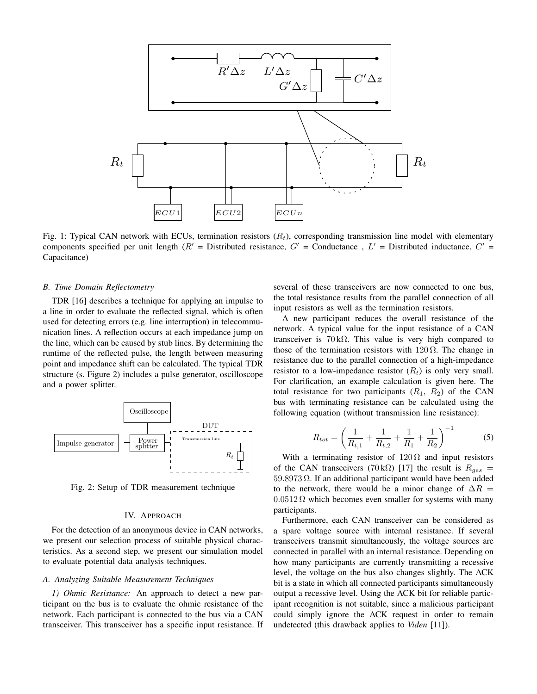<span id="page-2-0"></span>

Fig. 1: Typical CAN network with ECUs, termination resistors  $(R_t)$ , corresponding transmission line model with elementary components specified per unit length ( $R'$  = Distributed resistance,  $G'$  = Conductance,  $L'$  = Distributed inductance,  $C'$  = Capacitance)

## *B. Time Domain Reflectometry*

TDR [\[16\]](#page-7-15) describes a technique for applying an impulse to a line in order to evaluate the reflected signal, which is often used for detecting errors (e.g. line interruption) in telecommunication lines. A reflection occurs at each impedance jump on the line, which can be caused by stub lines. By determining the runtime of the reflected pulse, the length between measuring point and impedance shift can be calculated. The typical TDR structure (s. Figure [2\)](#page-2-1) includes a pulse generator, oscilloscope and a power splitter.

<span id="page-2-1"></span>

Fig. 2: Setup of TDR measurement technique

# IV. APPROACH

For the detection of an anonymous device in CAN networks, we present our selection process of suitable physical characteristics. As a second step, we present our simulation model to evaluate potential data analysis techniques.

#### *A. Analyzing Suitable Measurement Techniques*

*1) Ohmic Resistance:* An approach to detect a new participant on the bus is to evaluate the ohmic resistance of the network. Each participant is connected to the bus via a CAN transceiver. This transceiver has a specific input resistance. If

several of these transceivers are now connected to one bus, the total resistance results from the parallel connection of all input resistors as well as the termination resistors.

A new participant reduces the overall resistance of the network. A typical value for the input resistance of a CAN transceiver is 70 kΩ. This value is very high compared to those of the termination resistors with  $120 \Omega$ . The change in resistance due to the parallel connection of a high-impedance resistor to a low-impedance resistor  $(R_t)$  is only very small. For clarification, an example calculation is given here. The total resistance for two participants  $(R_1, R_2)$  of the CAN bus with terminating resistance can be calculated using the following equation (without transmission line resistance):

$$
R_{tot} = \left(\frac{1}{R_{t,1}} + \frac{1}{R_{t,2}} + \frac{1}{R_1} + \frac{1}{R_2}\right)^{-1}
$$
 (5)

With a terminating resistor of  $120 \Omega$  and input resistors of the CAN transceivers (70 kΩ) [\[17\]](#page-7-16) the result is  $R_{ges}$  =  $59.8973 \Omega$ . If an additional participant would have been added to the network, there would be a minor change of  $\Delta R =$  $0.0512 \Omega$  which becomes even smaller for systems with many participants.

Furthermore, each CAN transceiver can be considered as a spare voltage source with internal resistance. If several transceivers transmit simultaneously, the voltage sources are connected in parallel with an internal resistance. Depending on how many participants are currently transmitting a recessive level, the voltage on the bus also changes slightly. The ACK bit is a state in which all connected participants simultaneously output a recessive level. Using the ACK bit for reliable participant recognition is not suitable, since a malicious participant could simply ignore the ACK request in order to remain undetected (this drawback applies to *Viden* [\[11\]](#page-7-10)).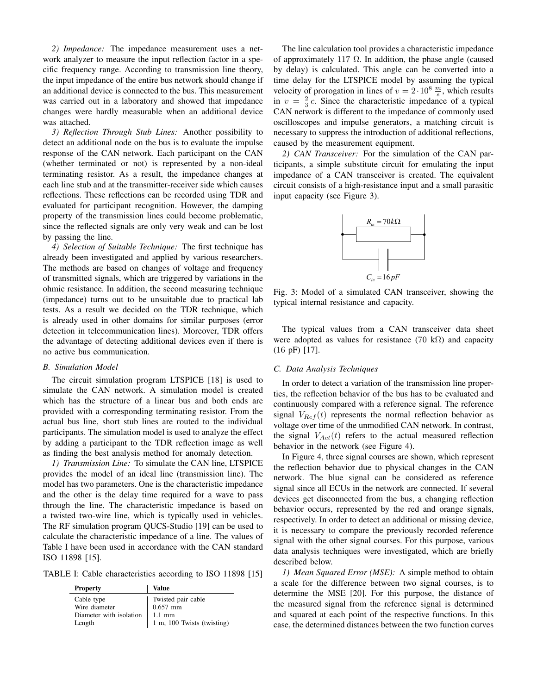*2) Impedance:* The impedance measurement uses a network analyzer to measure the input reflection factor in a specific frequency range. According to transmission line theory, the input impedance of the entire bus network should change if an additional device is connected to the bus. This measurement was carried out in a laboratory and showed that impedance changes were hardly measurable when an additional device was attached.

*3) Reflection Through Stub Lines:* Another possibility to detect an additional node on the bus is to evaluate the impulse response of the CAN network. Each participant on the CAN (whether terminated or not) is represented by a non-ideal terminating resistor. As a result, the impedance changes at each line stub and at the transmitter-receiver side which causes reflections. These reflections can be recorded using TDR and evaluated for participant recognition. However, the damping property of the transmission lines could become problematic, since the reflected signals are only very weak and can be lost by passing the line.

*4) Selection of Suitable Technique:* The first technique has already been investigated and applied by various researchers. The methods are based on changes of voltage and frequency of transmitted signals, which are triggered by variations in the ohmic resistance. In addition, the second measuring technique (impedance) turns out to be unsuitable due to practical lab tests. As a result we decided on the TDR technique, which is already used in other domains for similar purposes (error detection in telecommunication lines). Moreover, TDR offers the advantage of detecting additional devices even if there is no active bus communication.

#### *B. Simulation Model*

The circuit simulation program LTSPICE [\[18\]](#page-7-17) is used to simulate the CAN network. A simulation model is created which has the structure of a linear bus and both ends are provided with a corresponding terminating resistor. From the actual bus line, short stub lines are routed to the individual participants. The simulation model is used to analyze the effect by adding a participant to the TDR reflection image as well as finding the best analysis method for anomaly detection.

*1) Transmission Line:* To simulate the CAN line, LTSPICE provides the model of an ideal line (transmission line). The model has two parameters. One is the characteristic impedance and the other is the delay time required for a wave to pass through the line. The characteristic impedance is based on a twisted two-wire line, which is typically used in vehicles. The RF simulation program QUCS-Studio [\[19\]](#page-7-18) can be used to calculate the characteristic impedance of a line. The values of Table [I](#page-3-0) have been used in accordance with the CAN standard ISO 11898 [\[15\]](#page-7-14).

<span id="page-3-0"></span>TABLE I: Cable characteristics according to ISO 11898 [\[15\]](#page-7-14)

| <b>Property</b>         | Value                      |
|-------------------------|----------------------------|
| Cable type              | Twisted pair cable         |
| Wire diameter           | $0.657$ mm                 |
| Diameter with isolation | $1.1 \text{ mm}$           |
| Length                  | 1 m, 100 Twists (twisting) |

The line calculation tool provides a characteristic impedance of approximately 117  $\Omega$ . In addition, the phase angle (caused by delay) is calculated. This angle can be converted into a time delay for the LTSPICE model by assuming the typical velocity of prorogation in lines of  $v = 2 \cdot 10^8 \frac{m}{s}$ , which results in  $v = \frac{2}{3}c$ . Since the characteristic impedance of a typical CAN network is different to the impedance of commonly used oscilloscopes and impulse generators, a matching circuit is necessary to suppress the introduction of additional reflections, caused by the measurement equipment.

<span id="page-3-1"></span>*2) CAN Transceiver:* For the simulation of the CAN participants, a simple substitute circuit for emulating the input impedance of a CAN transceiver is created. The equivalent circuit consists of a high-resistance input and a small parasitic input capacity (see Figure [3\)](#page-3-1).



Fig. 3: Model of a simulated CAN transceiver, showing the typical internal resistance and capacity.

The typical values from a CAN transceiver data sheet were adopted as values for resistance (70 k $\Omega$ ) and capacity (16 pF) [\[17\]](#page-7-16).

## *C. Data Analysis Techniques*

In order to detect a variation of the transmission line properties, the reflection behavior of the bus has to be evaluated and continuously compared with a reference signal. The reference signal  $V_{Ref}(t)$  represents the normal reflection behavior as voltage over time of the unmodified CAN network. In contrast, the signal  $V_{Act}(t)$  refers to the actual measured reflection behavior in the network (see Figure [4\)](#page-4-0).

In Figure [4,](#page-4-0) three signal courses are shown, which represent the reflection behavior due to physical changes in the CAN network. The blue signal can be considered as reference signal since all ECUs in the network are connected. If several devices get disconnected from the bus, a changing reflection behavior occurs, represented by the red and orange signals, respectively. In order to detect an additional or missing device, it is necessary to compare the previously recorded reference signal with the other signal courses. For this purpose, various data analysis techniques were investigated, which are briefly described below.

*1) Mean Squared Error (MSE):* A simple method to obtain a scale for the difference between two signal courses, is to determine the MSE [\[20\]](#page-7-19). For this purpose, the distance of the measured signal from the reference signal is determined and squared at each point of the respective functions. In this case, the determined distances between the two function curves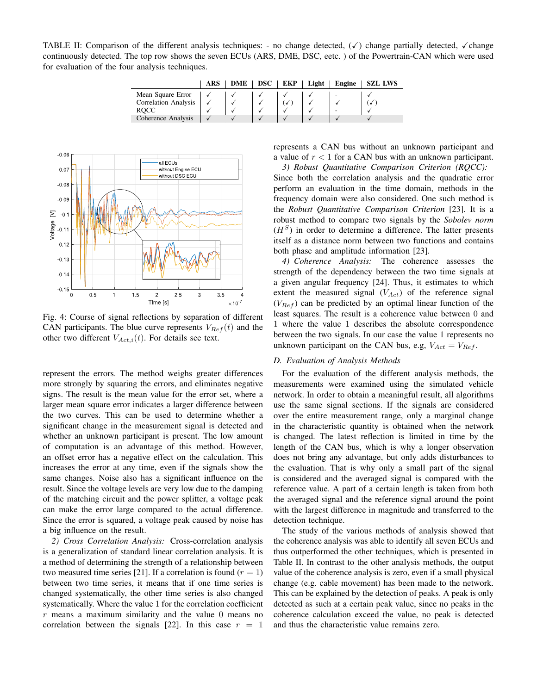<span id="page-4-1"></span>TABLE II: Comparison of the different analysis techniques: - no change detected,  $(\checkmark)$  change partially detected,  $\checkmark$  change continuously detected. The top row shows the seven ECUs (ARS, DME, DSC, eetc. ) of the Powertrain-CAN which were used for evaluation of the four analysis techniques.

|                             | <b>ARS</b> | DME | <b>DSC</b> | <b>EKP</b> | Light | <b>Engine</b> | <b>SZL LWS</b> |
|-----------------------------|------------|-----|------------|------------|-------|---------------|----------------|
| Mean Square Error           |            |     |            |            |       |               |                |
| <b>Correlation Analysis</b> |            |     |            |            |       |               |                |
| <b>ROCC</b>                 |            |     |            |            |       |               |                |
| Coherence Analysis          |            |     |            |            |       |               |                |

<span id="page-4-0"></span>

Fig. 4: Course of signal reflections by separation of different CAN participants. The blue curve represents  $V_{Ref}(t)$  and the other two different  $V_{Act,i}(t)$ . For details see text.

represent the errors. The method weighs greater differences more strongly by squaring the errors, and eliminates negative signs. The result is the mean value for the error set, where a larger mean square error indicates a larger difference between the two curves. This can be used to determine whether a significant change in the measurement signal is detected and whether an unknown participant is present. The low amount of computation is an advantage of this method. However, an offset error has a negative effect on the calculation. This increases the error at any time, even if the signals show the same changes. Noise also has a significant influence on the result. Since the voltage levels are very low due to the damping of the matching circuit and the power splitter, a voltage peak can make the error large compared to the actual difference. Since the error is squared, a voltage peak caused by noise has a big influence on the result.

*2) Cross Correlation Analysis:* Cross-correlation analysis is a generalization of standard linear correlation analysis. It is a method of determining the strength of a relationship between two measured time series [\[21\]](#page-7-20). If a correlation is found  $(r = 1)$ between two time series, it means that if one time series is changed systematically, the other time series is also changed systematically. Where the value 1 for the correlation coefficient  $r$  means a maximum similarity and the value 0 means no correlation between the signals [\[22\]](#page-7-21). In this case  $r = 1$  represents a CAN bus without an unknown participant and a value of  $r < 1$  for a CAN bus with an unknown participant.

*3) Robust Quantitative Comparison Criterion (RQCC):* Since both the correlation analysis and the quadratic error perform an evaluation in the time domain, methods in the frequency domain were also considered. One such method is the *Robust Quantitative Comparison Criterion* [\[23\]](#page-7-22). It is a robust method to compare two signals by the *Sobolev norm*  $(H<sup>S</sup>)$  in order to determine a difference. The latter presents itself as a distance norm between two functions and contains both phase and amplitude information [\[23\]](#page-7-22).

*4) Coherence Analysis:* The coherence assesses the strength of the dependency between the two time signals at a given angular frequency [\[24\]](#page-7-23). Thus, it estimates to which extent the measured signal  $(V_{Act})$  of the reference signal  $(V_{Ref})$  can be predicted by an optimal linear function of the least squares. The result is a coherence value between 0 and 1 where the value 1 describes the absolute correspondence between the two signals. In our case the value 1 represents no unknown participant on the CAN bus, e.g,  $V_{Act} = V_{Ref}$ .

# *D. Evaluation of Analysis Methods*

For the evaluation of the different analysis methods, the measurements were examined using the simulated vehicle network. In order to obtain a meaningful result, all algorithms use the same signal sections. If the signals are considered over the entire measurement range, only a marginal change in the characteristic quantity is obtained when the network is changed. The latest reflection is limited in time by the length of the CAN bus, which is why a longer observation does not bring any advantage, but only adds disturbances to the evaluation. That is why only a small part of the signal is considered and the averaged signal is compared with the reference value. A part of a certain length is taken from both the averaged signal and the reference signal around the point with the largest difference in magnitude and transferred to the detection technique.

The study of the various methods of analysis showed that the coherence analysis was able to identify all seven ECUs and thus outperformed the other techniques, which is presented in Table [II.](#page-4-1) In contrast to the other analysis methods, the output value of the coherence analysis is zero, even if a small physical change (e.g. cable movement) has been made to the network. This can be explained by the detection of peaks. A peak is only detected as such at a certain peak value, since no peaks in the coherence calculation exceed the value, no peak is detected and thus the characteristic value remains zero.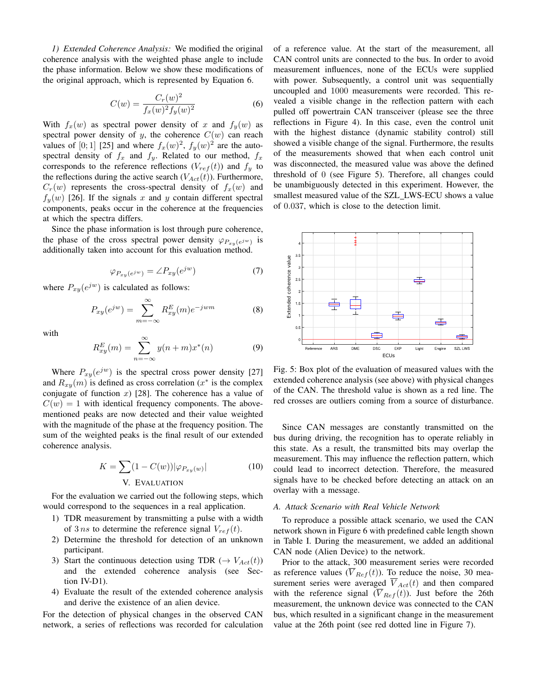<span id="page-5-1"></span>*1) Extended Coherence Analysis:* We modified the original coherence analysis with the weighted phase angle to include the phase information. Below we show these modifications of the original approach, which is represented by Equation [6.](#page-5-0)

<span id="page-5-0"></span>
$$
C(w) = \frac{C_r(w)^2}{f_x(w)^2 f_y(w)^2}
$$
 (6)

With  $f_x(w)$  as spectral power density of x and  $f_y(w)$  as spectral power density of y, the coherence  $C(w)$  can reach values of [0; 1] [\[25\]](#page-7-24) and where  $f_x(w)^2$ ,  $f_y(w)^2$  are the autospectral density of  $f_x$  and  $f_y$ . Related to our method,  $f_x$ corresponds to the reference reflections  $(V_{ref}(t))$  and  $f_y$  to the reflections during the active search  $(V_{Act}(t))$ . Furthermore,  $C_r(w)$  represents the cross-spectral density of  $f_x(w)$  and  $f_y(w)$  [\[26\]](#page-7-25). If the signals x and y contain different spectral components, peaks occur in the coherence at the frequencies at which the spectra differs.

Since the phase information is lost through pure coherence, the phase of the cross spectral power density  $\varphi_{P_{xy}(e^{jw})}$  is additionally taken into account for this evaluation method.

$$
\varphi_{P_{xy}(e^{jw})} = \angle P_{xy}(e^{jw}) \tag{7}
$$

where  $P_{xy}(e^{jw})$  is calculated as follows:

$$
P_{xy}(e^{jw}) = \sum_{m=-\infty}^{\infty} R_{xy}^E(m)e^{-jwm}
$$
 (8)

with

$$
R_{xy}^E(m) = \sum_{n=-\infty}^{\infty} y(n+m)x^*(n)
$$
 (9)

Where  $P_{xy}(e^{jw})$  is the spectral cross power density [\[27\]](#page-7-26) and  $R_{xy}(m)$  is defined as cross correlation ( $x^*$  is the complex conjugate of function  $x$ ) [\[28\]](#page-7-27). The coherence has a value of  $C(w) = 1$  with identical frequency components. The abovementioned peaks are now detected and their value weighted with the magnitude of the phase at the frequency position. The sum of the weighted peaks is the final result of our extended coherence analysis.

$$
K = \sum (1 - C(w)) |\varphi_{P_{xy}(w)}|
$$
 (10)  
V. EVALUATION

For the evaluation we carried out the following steps, which would correspond to the sequences in a real application.

- 1) TDR measurement by transmitting a pulse with a width of 3 ns to determine the reference signal  $V_{ref}(t)$ .
- 2) Determine the threshold for detection of an unknown participant.
- 3) Start the continuous detection using TDR ( $\rightarrow$   $V_{Act}(t)$ ) and the extended coherence analysis (see Section [IV-D1\)](#page-5-1).
- 4) Evaluate the result of the extended coherence analysis and derive the existence of an alien device.

For the detection of physical changes in the observed CAN network, a series of reflections was recorded for calculation of a reference value. At the start of the measurement, all CAN control units are connected to the bus. In order to avoid measurement influences, none of the ECUs were supplied with power. Subsequently, a control unit was sequentially uncoupled and 1000 measurements were recorded. This revealed a visible change in the reflection pattern with each pulled off powertrain CAN transceiver (please see the three reflections in Figure [4\)](#page-4-0). In this case, even the control unit with the highest distance (dynamic stability control) still showed a visible change of the signal. Furthermore, the results of the measurements showed that when each control unit was disconnected, the measured value was above the defined threshold of 0 (see Figure [5\)](#page-5-2). Therefore, all changes could be unambiguously detected in this experiment. However, the smallest measured value of the SZL LWS-ECU shows a value of 0.037, which is close to the detection limit.

<span id="page-5-2"></span>

Fig. 5: Box plot of the evaluation of measured values with the extended coherence analysis (see above) with physical changes of the CAN. The threshold value is shown as a red line. The red crosses are outliers coming from a source of disturbance.

Since CAN messages are constantly transmitted on the bus during driving, the recognition has to operate reliably in this state. As a result, the transmitted bits may overlap the measurement. This may influence the reflection pattern, which could lead to incorrect detection. Therefore, the measured signals have to be checked before detecting an attack on an overlay with a message.

# *A. Attack Scenario with Real Vehicle Network*

To reproduce a possible attack scenario, we used the CAN network shown in Figure [6](#page-6-0) with predefined cable length shown in Table [I.](#page-3-0) During the measurement, we added an additional CAN node (Alien Device) to the network.

Prior to the attack, 300 measurement series were recorded as reference values  $(\overline{V}_{Ref}(t))$ . To reduce the noise, 30 measurement series were averaged  $\overline{V}_{Act}(t)$  and then compared with the reference signal  $(\overline{V}_{Ref}(t))$ . Just before the 26th measurement, the unknown device was connected to the CAN bus, which resulted in a significant change in the measurement value at the 26th point (see red dotted line in Figure [7\)](#page-6-1).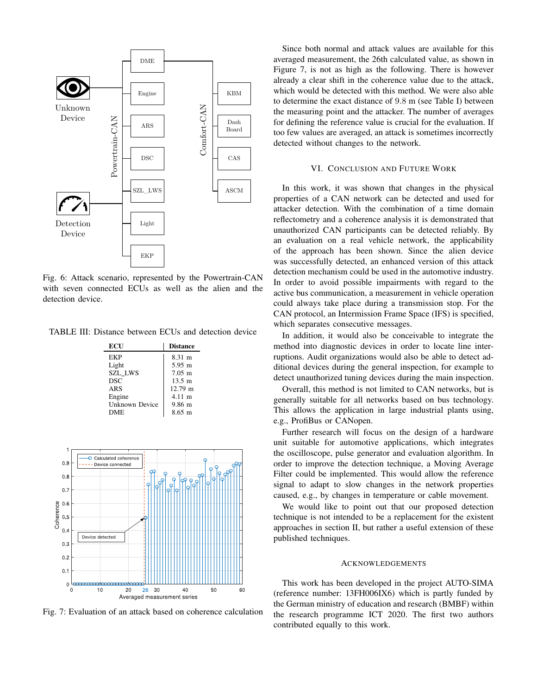<span id="page-6-0"></span>

Fig. 6: Attack scenario, represented by the Powertrain-CAN with seven connected ECUs as well as the alien and the detection device.

TABLE III: Distance between ECUs and detection device

| ECU            | <b>Distance</b>      |
|----------------|----------------------|
| EKP            | 8.31 m               |
| Light          | $5.95 \; \mathrm{m}$ |
| <b>SZL LWS</b> | $7.05 \; \mathrm{m}$ |
| <b>DSC</b>     | $13.5 \; \text{m}$   |
| ARS            | 12.79 m              |
| Engine         | $4.11 \; \text{m}$   |
| Unknown Device | $9.86 \; \mathrm{m}$ |
| DME            | $8.65 \; \mathrm{m}$ |

<span id="page-6-1"></span>

Fig. 7: Evaluation of an attack based on coherence calculation

Since both normal and attack values are available for this averaged measurement, the 26th calculated value, as shown in Figure [7,](#page-6-1) is not as high as the following. There is however already a clear shift in the coherence value due to the attack, which would be detected with this method. We were also able to determine the exact distance of 9.8 m (see Table [I\)](#page-3-0) between the measuring point and the attacker. The number of averages for defining the reference value is crucial for the evaluation. If too few values are averaged, an attack is sometimes incorrectly detected without changes to the network.

## VI. CONCLUSION AND FUTURE WORK

In this work, it was shown that changes in the physical properties of a CAN network can be detected and used for attacker detection. With the combination of a time domain reflectometry and a coherence analysis it is demonstrated that unauthorized CAN participants can be detected reliably. By an evaluation on a real vehicle network, the applicability of the approach has been shown. Since the alien device was successfully detected, an enhanced version of this attack detection mechanism could be used in the automotive industry. In order to avoid possible impairments with regard to the active bus communication, a measurement in vehicle operation could always take place during a transmission stop. For the CAN protocol, an Intermission Frame Space (IFS) is specified, which separates consecutive messages.

In addition, it would also be conceivable to integrate the method into diagnostic devices in order to locate line interruptions. Audit organizations would also be able to detect additional devices during the general inspection, for example to detect unauthorized tuning devices during the main inspection.

Overall, this method is not limited to CAN networks, but is generally suitable for all networks based on bus technology. This allows the application in large industrial plants using, e.g., ProfiBus or CANopen.

Further research will focus on the design of a hardware unit suitable for automotive applications, which integrates the oscilloscope, pulse generator and evaluation algorithm. In order to improve the detection technique, a Moving Average Filter could be implemented. This would allow the reference signal to adapt to slow changes in the network properties caused, e.g., by changes in temperature or cable movement.

We would like to point out that our proposed detection technique is not intended to be a replacement for the existent approaches in section [II,](#page-1-0) but rather a useful extension of these published techniques.

#### ACKNOWLEDGEMENTS

This work has been developed in the project AUTO-SIMA (reference number: 13FH006IX6) which is partly funded by the German ministry of education and research (BMBF) within the research programme ICT 2020. The first two authors contributed equally to this work.